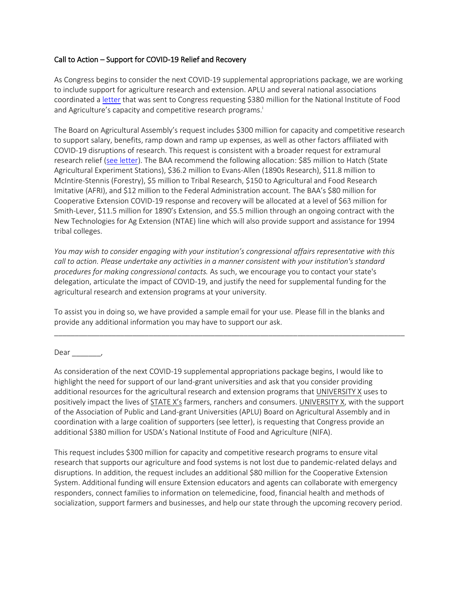## Call to Action – Support for COVID-19 Relief and Recovery

As Congress begins to consider the next COVID-19 supplemental appropriations package, we are working to include support for agriculture research and extension. APLU and several national associations coordinated a [letter](https://files.constantcontact.com/c37184a7201/c8d8cd56-1860-42cf-9f35-b10b1966f32c.pdf) that was sent to Congress requesting \$380 million for the National Institute of Food and Agriculture's capacity and competitive research programs. i

The Board on Agricultural Assembly's request includes \$300 million for capacity and competitive research to support salary, benefits, ramp down and ramp up expenses, as well as other factors affiliated with COVID-19 disruptions of research. This request is consistent with a broader request for extramural research relief [\(see letter\)](https://www.aplu.org/members/councils/governmental-affairs/CGA-library/higher-ed-community-phase-iv-research-priorities/file). The BAA recommend the following allocation: \$85 million to Hatch (State Agricultural Experiment Stations), \$36.2 million to Evans-Allen (1890s Research), \$11.8 million to McIntire-Stennis (Forestry), \$5 million to Tribal Research, \$150 to Agricultural and Food Research Imitative (AFRI), and \$12 million to the Federal Administration account. The BAA's \$80 million for Cooperative Extension COVID-19 response and recovery will be allocated at a level of \$63 million for Smith-Lever, \$11.5 million for 1890's Extension, and \$5.5 million through an ongoing contract with the New Technologies for Ag Extension (NTAE) line which will also provide support and assistance for 1994 tribal colleges.

*You may wish to consider engaging with your institution's congressional affairs representative with this call to action. Please undertake any activities in a manner consistent with your institution's standard procedures for making congressional contacts.* As such, we encourage you to contact your state's delegation, articulate the impact of COVID-19, and justify the need for supplemental funding for the agricultural research and extension programs at your university.

To assist you in doing so, we have provided a sample email for your use. Please fill in the blanks and provide any additional information you may have to support our ask.

\_\_\_\_\_\_\_\_\_\_\_\_\_\_\_\_\_\_\_\_\_\_\_\_\_\_\_\_\_\_\_\_\_\_\_\_\_\_\_\_\_\_\_\_\_\_\_\_\_\_\_\_\_\_\_\_\_\_\_\_\_\_\_\_\_\_\_\_\_\_\_\_\_\_\_\_\_\_\_\_\_\_\_\_\_

Dear \_\_\_\_\_\_\_,

As consideration of the next COVID-19 supplemental appropriations package begins, I would like to highlight the need for support of our land-grant universities and ask that you consider providing additional resources for the agricultural research and extension programs that UNIVERSITY X uses to positively impact the lives of STATE X's farmers, ranchers and consumers. UNIVERSITY X, with the support of the Association of Public and Land-grant Universities (APLU) Board on Agricultural Assembly and in coordination with a large coalition of supporters (see letter), is requesting that Congress provide an additional \$380 million for USDA's National Institute of Food and Agriculture (NIFA).

This request includes \$300 million for capacity and competitive research programs to ensure vital research that supports our agriculture and food systems is not lost due to pandemic-related delays and disruptions. In addition, the request includes an additional \$80 million for the Cooperative Extension System. Additional funding will ensure Extension educators and agents can collaborate with emergency responders, connect families to information on telemedicine, food, financial health and methods of socialization, support farmers and businesses, and help our state through the upcoming recovery period.